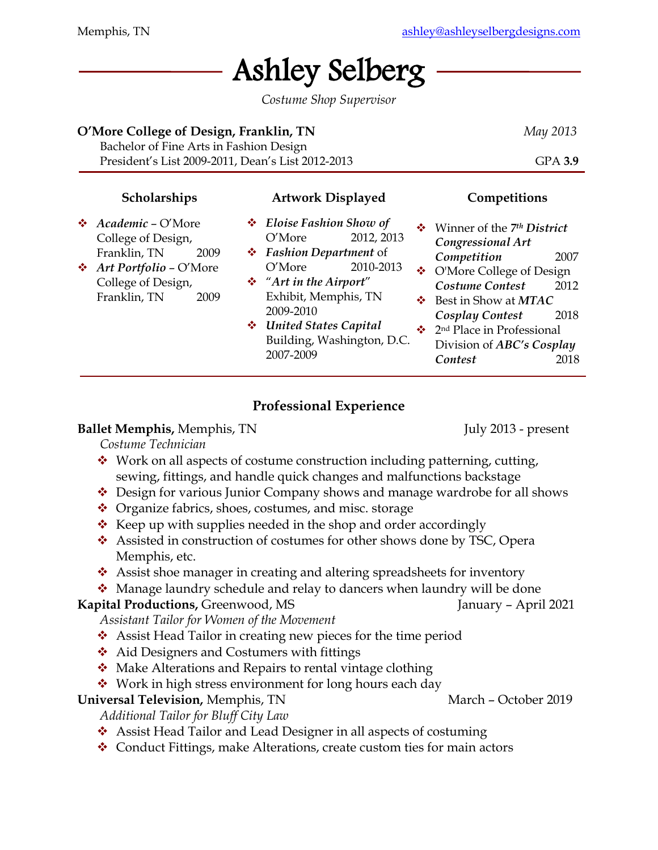# Ashley Selberg

*Costume Shop Supervisor*

#### **O'More College of Design, Franklin, TN** *May 2013*

Bachelor of Fine Arts in Fashion Design President's List 2009-2011, Dean's List 2012-2013 GPA **3.9**

## **Scholarships**

❖ *Academic* – O'More College of Design, Franklin, TN 2009 ❖ *Art Portfolio* – O'More College of Design, Franklin, TN 2009

- **Artwork Displayed**
- ❖ *Eloise Fashion Show of* O'More 2012, 2013
- ❖ *Fashion Department* of O'More 2010-2013
- ❖ "*Art in the Airport*" Exhibit, Memphis, TN 2009-2010
- ❖ *United States Capital* Building, Washington, D.C. 2007-2009

## **Competitions**

- ❖ Winner of the *7 th District Congressional Art Competition* 2007
- ❖ O'More College of Design *Costume Contest* 2012
- ❖ Best in Show at *MTAC Cosplay Contest* 2018
- ❖ 2nd Place in Professional Division of *ABC's Cosplay Contest* 2018

# **Professional Experience**

## **Ballet Memphis, Memphis, TN** July 2013 - present

*Costume Technician*

- ❖ Work on all aspects of costume construction including patterning, cutting, sewing, fittings, and handle quick changes and malfunctions backstage
- ❖ Design for various Junior Company shows and manage wardrobe for all shows
- ❖ Organize fabrics, shoes, costumes, and misc. storage
- ❖ Keep up with supplies needed in the shop and order accordingly
- ❖ Assisted in construction of costumes for other shows done by TSC, Opera Memphis, etc.
- ❖ Assist shoe manager in creating and altering spreadsheets for inventory
- ❖ Manage laundry schedule and relay to dancers when laundry will be done

# **Kapital Productions, Greenwood, MS** January – April 2021

*Assistant Tailor for Women of the Movement*

- ❖ Assist Head Tailor in creating new pieces for the time period
- ❖ Aid Designers and Costumers with fittings
- ❖ Make Alterations and Repairs to rental vintage clothing
- ❖ Work in high stress environment for long hours each day

# **Universal Television, Memphis, TN** March – October 2019

*Additional Tailor for Bluff City Law*

- ❖ Assist Head Tailor and Lead Designer in all aspects of costuming
- ❖ Conduct Fittings, make Alterations, create custom ties for main actors